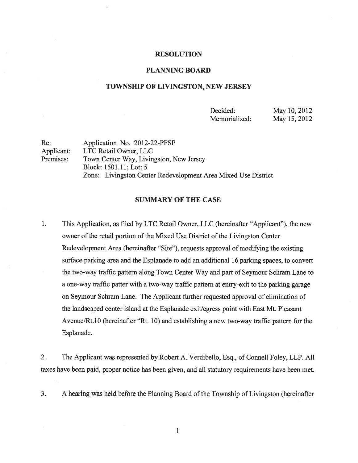#### RESOLUTION

### PLANNING BOARD

# TOWNSHIP OF LIVINGSTON, NEW JERSEY

Decided: May 10, 2012 Memorialized: May 15, 2012

Re: Application No. 2012-22-PFSP Applicant: LTC Retail Owner, LLC Premises: Town Center Way, Livingston, New Jersey Block: 1501.11; Lot: 5 Zone: Livingston Center Redevelopment Area Mixed Use District

# SUMMARY OF THE CASE

1. This Application, as filed by LTC Retail Owner, LLC (hereinafter "Applicant"), the new owner of the retail portion of the Mixed Use District of the Livingston Center Redevelopment Area (hereinafter "Site"), requests approval of modifying the existing surface parking area and the Esplanade to add an additional 16 parking spaces, to convert the two-way traffic pattern along Town Center Way and part of Seymour Schram Lane to <sup>a</sup> one-way traffic patter with <sup>a</sup> two-way traffic pattern at entry-exit to the parking garage on Seymour Schram Lane. The Applicant further requested approval of elimination of the landscaped center island at the Esplanade exit/egress point with East Mt. Pleasant Avenue/Rt. 10 (hereinafter "Rt. 10) and establishing <sup>a</sup> new two-way traffic pattern for the Esplanade.

2. The Applicant was represented by Robert A. Verdibello, Esq., of Connell Foley, LLP. All taxes have been paid, proper notice has been given, and all statutory requirements have been met.

3. A hearing was held before the Planning Board of the Township of Livingston (hereinafter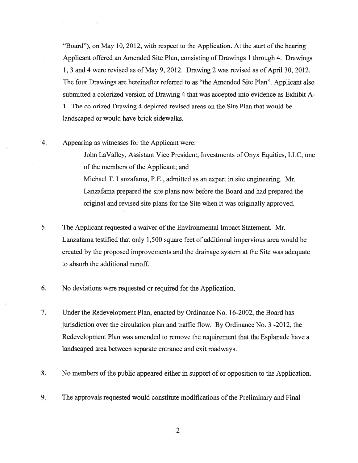"Board"), on May 10, 2012, with respect to the Application. At the start of the hearing Applicant offered an Amended Site Plan, consisting of Drawings 1 through 4. Drawings 1, 3 and 4 were revised as of May 9, 2012. Drawing 2 was revised as of April 30, 2012. The four Drawings are hereinafter referred to as "the Amended Site Plan". Applicant also submitted <sup>a</sup> colorized version of Drawing 4 that was accepted into evidence as Exhibit A-1. The colorized Drawing 4 depicted revised areas on the Site Plan that would be landscaped or would have brick sidewalks.

4. Appearing as witnesses for the Applicant were:

John LaValley, Assistant Vice President, Investments of Onyx Equities, LLC, one of the members of the Applicant; and Michael T. Lanzafama, P.E., admitted as an exper<sup>t</sup> in site engineering. Mr. Lanzafama prepared the site plans now before the Board and had prepared the original and revised site plans for the Site when it was originally approved.

- 5. The Applicant requested a waiver of the Environmental Impact Statement. Mr. Lanzafama testified that only 1,500 square feet of additional impervious area would be created by the proposed improvements and the drainage system at the Site was adequate to absorb the additional runoff.
- 6. No deviations were requested or required for the Application.
- 7. Under the Redevelopment Plan, enacted by Ordinance No. 16-2002, the Board has jurisdiction over the circulation plan and traffic flow. By Ordinance No. 3 -2012, the Redevelopment Plan was amended to remove the requirement that the Esplanade have <sup>a</sup> landscaped area between separate entrance and exit roadways.
- 8. No members of the public appeared either in suppor<sup>t</sup> of or opposition to the Application.
- 9. The approvals requested would constitute modifications of the Preliminary and Final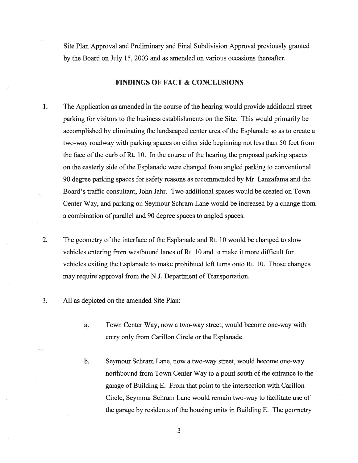Site Plan Approval and Preliminary and Final Subdivision Approval previously granted by the Board on July 15, 2003 and as amended on various occasions thereafter.

# FINDINGS OF FACT & CONCLUSIONS

- The Application as amended in the course of the hearing would provide additional street 1. parking for visitors to the business establishments on the Site. This would primarily be accomplished by eliminating the landscaped center area of the Esplanade so as to create a two-way roadway with parking spaces on either side beginning not less than 50 feet from the face of the curb of Rt. 10. In the course of the hearing the proposed parking spaces on the easterly side of the Esplanade were changed from angled parking to conventional 90 degree parking spaces for safety reasons as recommended by Mr. Lanzafama and the Board's traffic consultant, John Jahr. Two additional spaces would be created on Town Center Way, and parking on Seymour Schram Lane would be increased by <sup>a</sup> change from <sup>a</sup> combination of parallel and 90 degree spaces to angled spaces.
- 2. The geometry of the interface of the Esplanade and Rt. 10 would be changed to slow vehicles entering from westbound lanes of Rt. 10 and to make it more difficult for vehicles exiting the Esplanade to make prohibited left turns onto Rt. 10. Those changes may require approval from the N.J. Department of Transportation.
- 3. All as depicted on the amended Site Plan:
	- a. Town Center Way, now <sup>a</sup> two-way street, would become one-way with entry only from Carillon Circle or the Esplanade.
	- b. Seymour Schram Lane, now <sup>a</sup> two-way street, would become one-way northbound from Town Center Way to <sup>a</sup> point south of the entrance to the garage of Building E. From that point to the intersection with Carillon Circle, Seymour Schram Lane would remain two-way to facilitate use of the garage by residents of the housing units in Building E. The geometry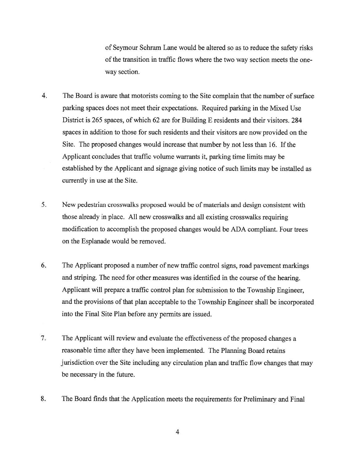of Seymour Schram Lane would be altered so as to reduce the safety risks of the transition in traffic flows where the two way section meets the oneway section.

- 4. The Board is aware that motorists coming to the Site complain that the number of surface parking spaces does not meet their expectations. Required parking in the Mixed Use District is 265 spaces, of which 62 are for Building E residents and their visitors. 284 spaces in addition to those for such residents and their visitors are now provided on the Site. The proposed changes would increase that number by not less than 16. If the Applicant concludes that traffic volume warrants it, parking time limits may be established by the Applicant and signage giving notice of such limits may be installed as currently in use at the Site.
- 5. New pedestrian crosswalks proposed would be of materials and design consistent with those already in <sup>p</sup>lace. All new crosswalks and all existing crosswalks requiring modification to accomplish the proposed changes would be ADA compliant. Four trees on the Esplanade would be removed.
- 6. The Applicant proposed <sup>a</sup> number of new traffic control signs, road pavemen<sup>t</sup> markings and striping. The need for other measures was identified in the course of the hearing. Applicant will prepare <sup>a</sup> traffic control <sup>p</sup>lan for submission to the Township Engineer, and the provisions of that plan acceptable to the Township Engineer shall be incorporated into the Final Site Plan before any permits are issued.
- 7. The Applicant will review and evaluate the effectiveness of the proposed changes <sup>a</sup> reasonable time after they have been implemented. The Planning Board retains jurisdiction over the Site including any circulation <sup>p</sup>lan and traffic flow changes that may be necessary in the future.
- 8. The Board finds that the Application meets the requirements for Preliminary and Final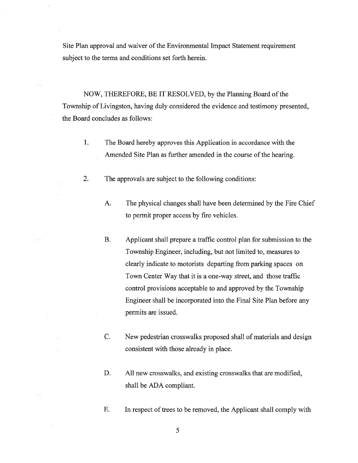Site Plan approval and waiver of the Environmental Impact Statement requirement subject to the terms and conditions set forth herein.

NOW, THEREFORE, BE IT RESOLVED, by the Planning Board of the Township of Livingston, having duly considered the evidence and testimony presented, the Board concludes as follows:

- 1. The Board hereby approves this Application in accordance with the Amended Site Plan as further amended in the course of the hearing.
- 2. The approvals are subject to the following conditions:
	- A. The physical changes shall have been determined by the Fire Chief to permit proper access by fire vehicles.
	- B. Applicant shall prepare <sup>a</sup> traffic control plan for submission to the Township Engineer, including, but not limited to, measures to clearly indicate to motorists departing from parking spaces on Town Center Way that it is <sup>a</sup> one-way street, and those traffic control provisions acceptable to and approved by the Township Engineer shall be incorporated into the Final Site Plan before any permits are issued.
	- C. New pedestrian crosswalks proposed shall of materials and design consistent with those already in place.
	- D. All new crosswalks, and existing crosswalks that are modified, shall be ADA compliant.
	- E. In respect of trees to be removed, the Applicant shall comply with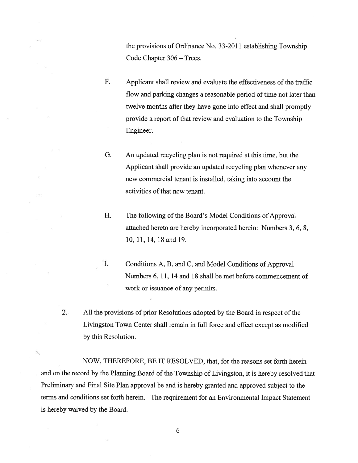the provisions of Ordinance No. 33-2011 establishing Township Code Chapter 306 — Trees.

- F. Applicant shall review and evaluate the effectiveness of the traffic flow and parking changes <sup>a</sup> reasonable period of time not later than twelve months after they have gone into effect and shall promptly provide a report of that review and evaluation to the Township Engineer.
- G. An updated recycling plan is not required at this time, but the Applicant shall provide an updated recycling plan whenever any new commercial tenant is installed, taking into account the activities of that new tenant.
- H. The following of the Board's Model Conditions of Approval attached hereto are hereby incorporated herein: Numbers 3, 6, 8, 10,11,14,18 and 19.

- I. Conditions A, B, and C, and Model Conditions of Approval Numbers 6, 11, 14 and 18 shall be met before commencement of work or issuance of any permits.
- 2. All the provisions of prior Resolutions adopted by the Board in respect of the Livingston Town Center shall remain in full force and effect excep<sup>t</sup> as modified by this Resolution.

NOW, THEREFORE, BE IT RESOLVED, that, for the reasons set forth herein and on the record by the Planning Board of the Township of Livingston, it is hereby resolved that Preliminary and Final Site Plan approval be and is hereby granted and approved subject to the terms and conditions set forth herein. The requirement for an Environmental Impact Statement is hereby waived by the Board.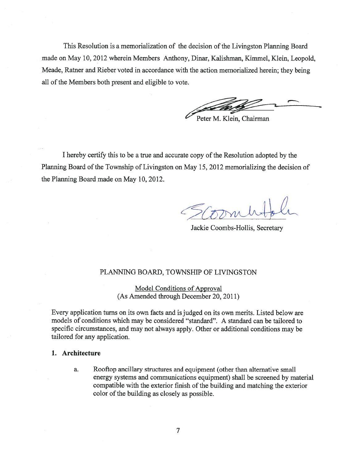This Resolution is a memorialization of the decision of the Livingston Planning Board made on May 10, 2012 wherein Members Anthony, Dinar, Kalishman, Kimmel, Klein, Leopold, Mêade, Ratner and Rieber voted in accordance with the action memorialized herein; they being all of the Members both present and eligible to vote.

Peter M. Klein, Chairman

<sup>I</sup> hereby certify this to be <sup>a</sup> true and accurate copy ofthe Resolution adopted by the Planning Board of the Township of Livingston on May 15, 2012 memorializing the decision of the Planning Board made on May 10, 2012.

Jackie Coombs-Hollis, Secretary

# PLANNING BOARD, TOWNSHIP OF LIVINGSTON

Model Conditions of Approval (As Amended through December 20, 2011)

Every application turns on its own facts and is judged on its own merits. Listed below are models of conditions which may be considered "standard". A standard can be tailored to specific circumstances, and may not always apply. Other or additional conditions may be tailored for any application.

### 1. Architecture

a. Rooftop ancillary structures and equipment (other than alternative small energy systems and communications equipment) shall be screened by material compatible with the exterior finish of the building and matching the exterior color of the building as closely as possible.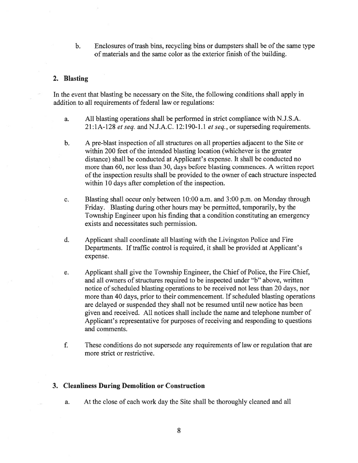b. Enclosures of trash bins, recycling bins or dumpsters shall be of the same type of materials and the same color as the exterior finish of the building.

# 2. Blasting

In the event that blasting be necessary on the Site, the following conditions shall apply in addition to all requirements of federal law or regulations:

- a. All blasting operations shall be performed in strict compliance with N.J.S.A. 21:1A-128 et seq. and N.J.A.C. 12:190-1.1 et seq., or superseding requirements.
- b. A pre-blast inspection of all structures on all properties adjacent to the Site or within 200 feet of the intended blasting location (whichever is the greater distance) shall be conducted at Applicant's expense. It shall be conducted no more than 60, nor less than 30, days before blasting commences. A written repor<sup>t</sup> of the inspection results shall be provided to the owner of each structure inspected within 10 days after completion of the inspection.
- c. Blasting shall occur only between 10:00 a.m. and 3:00 p.m. on Monday through Friday. Blasting during other hours may be permitted, temporarily, by the Township Engineer upon his finding that <sup>a</sup> condition constituting an emergency exists and necessitates such permission.
- d. Applicant shall coordinate all blasting with the Livingston Police and Fire Departments. If traffic control is required, it shall be provided at Applicant's expense.
- e. Applicant shall give the Township Engineer, the Chief of Police, the Fire Chief, and all owners of structures required to be inspected under "b" above, written notice of scheduled blasting operations to be received not less than 20 days, nor more than 40 days, prior to their commencement. If scheduled blasting operations are delayed or suspended they shall not be resumed until new notice has been given and received. All notices shall include the name and telephone number of Applicant's representative for purposes of receiving and responding to questions and comments.
- f. These conditions do not supersede any requirements of law or regulation that are more strict or restrictive.

## 3. Cleanliness During Demolition or Construction

a. At the close of each work day the Site shall be thoroughly cleaned and all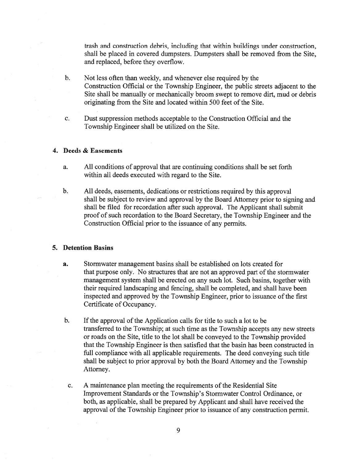trash and construction debris, including that within buildings under construction, shall be placed in covered dumpsters. Dumpsters shall be removed from the Site, and replaced, before they overflow.

- b. Not less often than weekly, and whenever else required by the Construction Official or the Township Engineer, the public streets adjacent to the Site shall be manually or mechanically broom swep<sup>t</sup> to remove dirt, mud or debris originating from the Site and located within 500 feet of the Site.
- c. Dust suppression methods acceptable to the Construction Official and the Township Engineer shall be utilized on the Site.

### 4. Deeds & Easements

- a. All conditions of approval that are continuing conditions shall be set forth within all deeds executed with regard to the Site.
- b. All deeds, easements, dedications or restrictions required by this approval shall be subject to review and approval by the Board Attorney prior to signing and shall be filed for recordation after such approval. The Applicant shall submit proof of such recordation to the Board Secretary, the Township Engineer and the Construction Official prior to the issuance of any permits.

# 5. Detention Basins

- a. Stormwater managemen<sup>t</sup> basins shall be established on lots created for that purpose only. No structures that are not an approved par<sup>t</sup> of the stormwater managemen<sup>t</sup> system shall be erected on any such lot. Such basins, together with their required landscaping and fencing, shall be completed, and shall have been inspected and approved by the Township Engineer, prior to issuance of the first Certificate of Occupancy.
- b. If the approval of the Application calls for title to such a lot to be transferred to the Township; at such time as the Township accepts any new streets or roads on the Site, title to the lot shall be conveyed to the Township provided that the Township Engineer is then satisfied that the basin has been constructed in full compliance with all applicable requirements. The deed conveying such title shall be subject to prior approval by both the Board Attorney and the Township Attorney.
- c. A maintenance plan meeting the requirements of the Residential Site Improvement Standards or the Township's Stormwater Control Ordinance, or both, as applicable, shall be prepared by Applicant and shall have received the approval of the Township Engineer prior to issuance of any construction permit.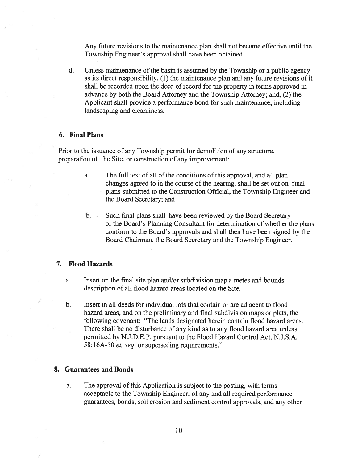Any future revisions to the maintenance plan shall not become effective until the Township Engineer's approval shall have been obtained.

d. Unless maintenance of the basin is assumed by the Township or <sup>a</sup> public agency as its direct responsibility, (1) the maintenance plan and any future revisions of it shall be recorded upon the deed of record for the property in terms approved in advance by both the Board Attorney and the Township Attorney; and, (2) the Applicant shall provide <sup>a</sup> performance bond for such maintenance, including landscaping and cleanliness.

### 6. Final Plans

Prior to the issuance of any Township permit for demolition of any structure, preparation of the Site, or construction of any improvement:

- a. The full text of all of the conditions of this approval, and all plan changes agreed to in the course of the hearing, shall be set out on final plans submitted to the Construction Official, the Township Engineer and the Board Secretary; and
- b. Such final plans shall have been reviewed by the Board Secretary or the Board's Planning Consultant for determination of whether the plans conform to the Board's approvals and shall then have been signed by the Board Chairman, the Board Secretary and the Township Engineer.

# 7. Flood Hazards

- a. Insert on the final site plan and/or subdivision map <sup>a</sup> metes and bounds description of all flood hazard areas located on the Site.
- b. Insert in all deeds for individual lots that contain or are adjacent to flood hazard areas, and on the preliminary and final subdivision maps or plats, the following covenant: "The lands designated herein contain flood hazard areas. There shall be no disturbance of any kind as to any flood hazard area unless permitted by N.J.D.E.P. pursuan<sup>t</sup> to the Flood Hazard Control Act, N.J.S.A. 58:16A-50 et. seq. or superseding requirements."

#### 8. Guarantees and Bonds

a. The approval of this Application is subject to the posting, with terms acceptable to the Township Engineer, of any and all required performance guarantees, bonds, soil erosion and sediment control approvals, and any other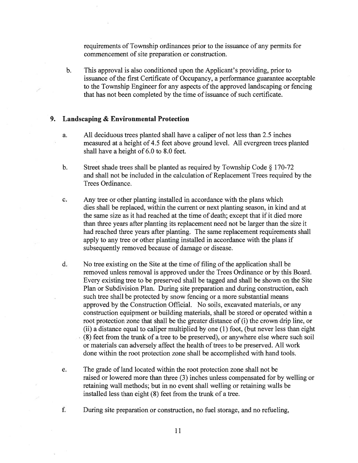requirements of Township ordinances prior to the issuance of any permits for commencement of site preparation or construction.

b. This approval is also conditioned upon the Applicant's providing, prior to issuance of the first Certificate of Occupancy, a performance guarantee acceptable to the Township Engineer for any aspects of the approve<sup>d</sup> landscaping or fencing that has not been completed by the time of issuance of such certificate.

### 9. Landscaping & Environmental Protection

- a. All deciduous trees planted shall have <sup>a</sup> caliper of not less than 2.5 inches measured at <sup>a</sup> height of 4.5 feet above ground level. All evergreen trees planted shall have <sup>a</sup> height of 6.0 to 8.0 feet.
- b. Street shade trees shall be <sup>p</sup>lanted as required by Township Code § 170-72 and shall not be included in the calculation of Replacement Trees required by the Trees Ordinance.
- c. Any tree or other planting installed in accordance with the plans which dies shall be replaced, within the current or next planting season, in kind and at the same size as it had reached at the time of death; excep<sup>t</sup> that if it died more than three years after planting its replacement need not be larger than the size it had reached three years after planting. The same replacement requirements shall apply to any tree or other planting installed in accordance with the plans if subsequently removed because of damage or disease.
- d. No tree existing on the Site at the time of filing of the application shall be removed unless removal is approved under the Trees Ordinance or by this Board. Every existing tree to be preserved shall be tagged and shall be shown on the Site Plan or Subdivision Plan. During site preparation and during construction, each such tree shall be protected by snow fencing or <sup>a</sup> more substantial means approved by the Construction Official. No soils, excavated materials, or any construction equipment or building materials, shall be stored or operated within <sup>a</sup> root protection zone that shall be the greater distance of (i) the crown drip line, or (ii) <sup>a</sup> distance equal to caliper multiplied by one (1) foot, (but never less than eight (8) feet from the trunk of <sup>a</sup> tree to be preserved), or anywhere else where such soil or materials can adversely affect the health of trees to be preserved. All work done within the root protection zone shall be accomplished with hand tools.
- e. The grade of land located within the root protection zone shall not be raised or lowered more than three (3) inches unless compensated for by welling or retaining wall methods; but in no event shall welling or retaining walls be installed less than eight (8) feet from the trunk of <sup>a</sup> tree.
- f. During site preparation or construction, no fuel storage, and no refueling,
	- 11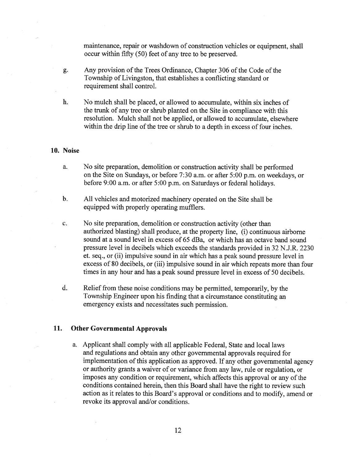maintenance, repair or washdown of construction vehicles or equipment, shall occur within fifty (50) feet of any tree to be preserved.

- g. Any provision of the Trees Ordinance, Chapter 306 of the Code of the Township of Livingston, that establishes <sup>a</sup> conflicting standard or requirement shall control.
- h. No mulch shall be placed, or allowed to accumulate, within six inches of the trunk of any tree or shrub planted on the Site in compliance with this resolution. Mulch shall not be applied, or allowed to accumulate, elsewhere within the drip line of the tree or shrub to a depth in excess of four inches.

#### 10. Noise

- a. No site preparation, demolition or construction activity shall be performed on the Site on Sundays, or before 7:30 a.m. or after 5:00 p.m. on weekdays, or before 9:00 a.m. or after 5:00 p.m. on Saturdays or federal holidays.
- b. All vehicles and motorized machinery operated on the Site shall be equipped with properly operating mufflers.
- c. No site preparation, demolition or construction activity (other than authorized blasting) shall produce, at the property line, (i) continuous airborne sound at <sup>a</sup> sound level in excess of 65 dBa, or which has an octave band sound pressure level in decibels which exceeds the standards provided in 32 N.J.R. 2230 et. seq., or (ii) impulsive sound in air which has <sup>a</sup> peak sound pressure level in excess of 80 decibels, or (iii) impulsive sound in air which repeats more than four times in any hour and has <sup>a</sup> peak sound pressure level in excess of 50 decibels.
- d. Relief from these noise conditions may be permitted, temporarily, by the Township Engineer upon his finding that <sup>a</sup> circumstance constituting an emergency exists and necessitates such permission.

### 11. Other Governmental Approvals

a. Applicant shall comply with all applicable Federal, State and local laws and regulations and obtain any other governmental approvals required for implementation of this application as approved. If any other governmental agency or authority grants <sup>a</sup> waiver of or variance from any law, rule or regulation, or imposes any condition or requirement, which affects this approva<sup>l</sup> or any of the conditions contained herein, then this Board shall have the right to review such action as it relates to this Board's approva<sup>l</sup> or conditions and to modify, amend or revoke its approval and/or conditions.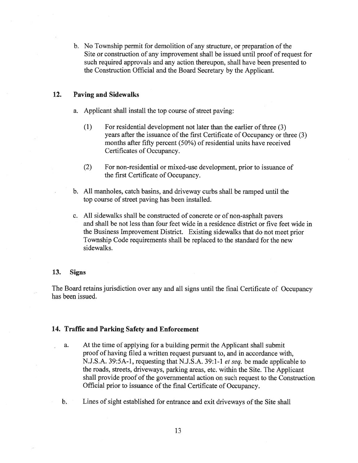b. No Township permit for demolition of any structure, or preparation of the Site or construction of any improvement shall be issued until proof of reques<sup>t</sup> for such required approvals and any action thereupon, shall have been presented to the Construction Official and the Board Secretary by the Applicant.

### 12. Paving and Sidewalks

- a. Applicant shall install the top course of street paving:
	- (1) For residential development not later than the earlier of three (3) years after the issuance of the first Certificate of Occupancy or three (3) months after fifty percen<sup>t</sup> (50%) of residential units have received Certificates of Occupancy.
	- (2) For non-residential or mixed-use development, prior to issuance of the first Certificate of Occupancy.
- b. All manholes, catch basins, and driveway curbs shall be ramped until the top course of street paving has been installed.
- c. All sidewalks shall be constructed of concrete or of non-asphalt payers and shall be not less than four feet wide in <sup>a</sup> residence district or five feet wide in the Business Improvement District. Existing sidewalks that do not meet prior Township Code requirements shall be replaced to the standard for the new sidewalks.

#### 13. Signs

The Board retains jurisdiction over any and all signs until the final Certificate of Occupancy has been issued.

### 14. Traffic and Parking Safety and Enforcement

- a. At the time of applying for <sup>a</sup> building permit the Applicant shall submit proof of having filed <sup>a</sup> written reques<sup>t</sup> pursuan<sup>t</sup> to, and in accordance with, N.J.S.A. 39:5A-1, requesting that N.J.S.A. 39:1-1 et seq. be made applicable to the roads, streets, driveways, parking areas, etc. within the Site. The Applicant shall provide proof of the governmental action on such reques<sup>t</sup> to the Construction Official prior to issuance of the final Certificate of Occupancy.
- b. Lines of sight established for entrance and exit driveways of the Site shall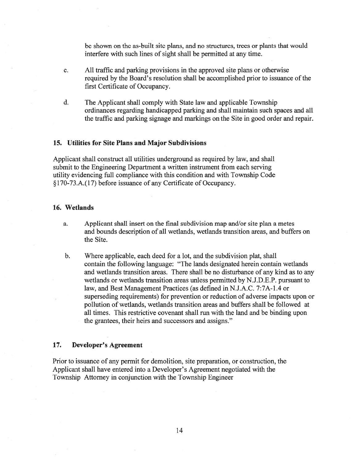be shown on the as-built site plans, and no structures, trees or plants that would interfere with such lines of sight shall be permitted at any time.

- c. All traffic and parking provisions in the approved site plans or otherwise required by the Board's resolution shall be accomplished prior to issuance of the first Certificate of Occupancy.
- d. The Applicant shall comply with State law and applicable Township ordinances regarding handicapped parking and shall maintain such spaces and all the traffic and parking signage and markings on the Site in good order and repair.

### 15. Utilities for Site Plans and Major Subdivisions

Applicant shall construct all utilities underground as required by law, and shall submit to the Engineering Department <sup>a</sup> written instrument from each serving utility evidencing full compliance with this condition and with Township Code § 170-73 .A.(17) before issuance of any Certificate of Occupancy.

#### 16. Wetlands

- a. Applicant shall insert on the final subdivision map and/or site plan <sup>a</sup> metes and bounds description of all wetlands, wetlands transition areas, and buffers on the Site.
- b. Where applicable, each deed for <sup>a</sup> lot, and the subdivision plat, shall contain the following language: "The lands designated herein contain wetlands and wetlands transition areas. There shall be no disturbance of any kind as to any wetlands or wetlands transition areas unless permitted by N.J.D.E.P. pursuan<sup>t</sup> to law, and Best Management Practices (as defined in N.J.A.C. 7:7A-1.4 or superseding requirements) for prevention or reduction of adverse impacts upon or pollution of wetlands, wetlands transition areas and buffers shall be followed at all times. This restrictive covenant shall run with the land and be binding upon the grantees, their heirs and successors and assigns."

# 17. Developer's Agreement

Prior to issuance of any permit for demolition, site preparation, or construction, the Applicant shall have entered into <sup>a</sup> Developer's Agreement negotiated with the Township Attorney in conjunction with the Township Engineer